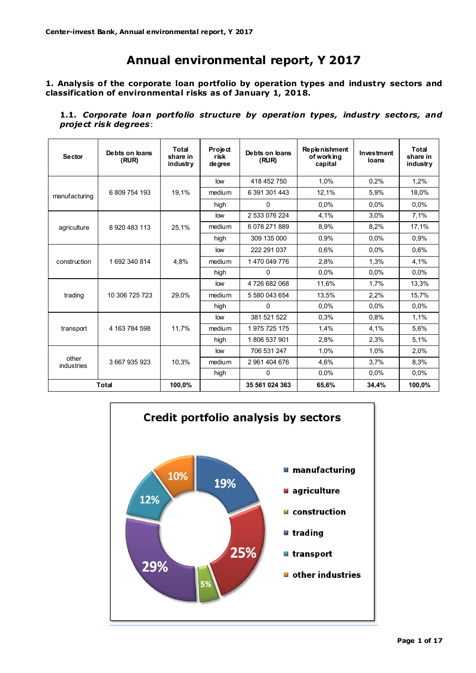# **Annual environmental report, Y 2017**

**1. Analysis of the corporate loan portfolio by operation types and industry sectors and classification of environmenta l risks as of January 1, 2018.**

**1.1.** *Corporate loan portfolio structure by operation types, industry sectors, and project risk degrees*:

| <b>Sector</b>       | Debts on loans<br>(RUR) | Total<br>share in<br>industry | Project<br>risk<br>de gree | Debts on loans<br>(RUR) | <b>Replenishment</b><br>of working<br>capital | <b>Investment</b><br>loans | Total<br>share in<br>industry |
|---------------------|-------------------------|-------------------------------|----------------------------|-------------------------|-----------------------------------------------|----------------------------|-------------------------------|
|                     |                         |                               | low                        | 418 452 750             | 1.0%                                          | 0.2%                       | 1,2%                          |
| manufacturing       | 6 809 754 193           | 19,1%                         | medium                     | 6 391 301 443           | 12,1%                                         | 5,9%                       | 18,0%                         |
|                     |                         |                               | high                       | 0                       | 0.0%                                          | 0.0%                       | 0.0%                          |
|                     |                         |                               | low                        | 2 533 076 224           | 4,1%                                          | 3,0%                       | 7,1%                          |
| agriculture         | 8 920 483 113           | 25,1%                         | medium                     | 6 078 271 889           | 8,9%                                          | 8,2%                       | 17,1%                         |
|                     |                         |                               | high                       | 309 135 000             | 0.9%                                          | 0.0%                       | 0.9%                          |
|                     |                         |                               | low                        | 222 291 037             | 0,6%                                          | 0.0%                       | 0.6%                          |
| construction        | 1 692 340 814           | 4.8%                          | medium                     | 1 470 049 776           | 2.8%                                          | 1.3%                       | 4,1%                          |
|                     |                         |                               | high                       | 0                       | 0.0%                                          | 0.0%                       | 0.0%                          |
|                     |                         |                               | low                        | 4726682068              | 11,6%                                         | 1,7%                       | 13,3%                         |
| trading             | 10 306 725 723          | 29.0%                         | medium                     | 5 580 043 654           | 13.5%                                         | 2.2%                       | 15.7%                         |
|                     |                         |                               | high                       | 0                       | 0.0%                                          | 0.0%                       | 0.0%                          |
|                     |                         |                               | low                        | 381 521 522             | 0.3%                                          | 0,8%                       | 1.1%                          |
| transport           | 4 163 784 598           | 11,7%                         | medium                     | 1975 725 175            | 1,4%                                          | 4,1%                       | 5,6%                          |
|                     |                         |                               | high                       | 1806 537 901            | 2,8%                                          | 2,3%                       | 5,1%                          |
|                     |                         |                               | low                        | 706 531 247             | 1,0%                                          | 1,0%                       | 2,0%                          |
| other<br>industries | 3 667 935 923           | 10,3%                         | medium                     | 2 961 404 676           | 4,6%                                          | 3,7%                       | 8,3%                          |
|                     |                         |                               | high                       | 0                       | 0.0%                                          | 0.0%                       | 0.0%                          |
|                     | Total                   | 100,0%                        |                            | 35 561 024 363          | 65,6%                                         | 34,4%                      | 100,0%                        |

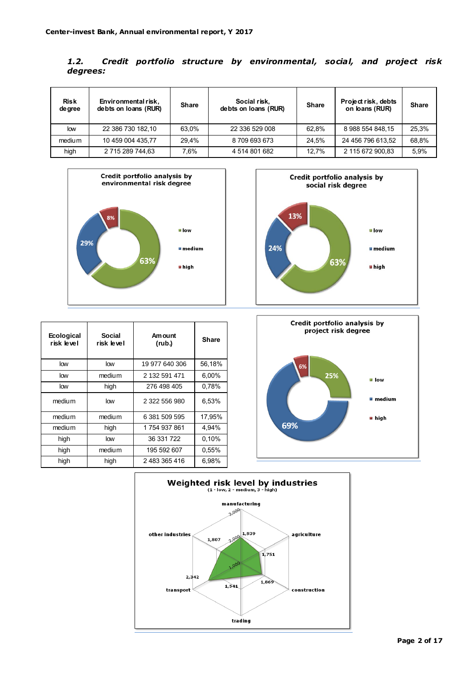| 1.2.     |  |  | Credit portfolio structure by environmental, social, and project risk |  |  |
|----------|--|--|-----------------------------------------------------------------------|--|--|
| degrees: |  |  |                                                                       |  |  |

| <b>Risk</b><br>de gree | Environmental risk,<br>debts on loans (RUR) | <b>Share</b> | Social risk,<br>debts on loans (RUR) | <b>Share</b> | Project risk, debts<br>on loans (RUR) | <b>Share</b> |
|------------------------|---------------------------------------------|--------------|--------------------------------------|--------------|---------------------------------------|--------------|
| low                    | 22 386 730 182.10                           | 63.0%        | 22 336 529 008                       | 62.8%        | 8 988 554 848 15                      | 25.3%        |
| medium                 | 10 459 004 435.77                           | 29.4%        | 8709693673                           | 24.5%        | 24 456 796 613.52                     | 68,8%        |
| high                   | 2 715 289 744,63                            | 7.6%         | 4 514 801 682                        | 12.7%        | 2 115 672 900,83                      | 5.9%         |





| Ecological<br>risk level | Social<br>risk level | Am ount<br>(rub.) | <b>Share</b> |
|--------------------------|----------------------|-------------------|--------------|
| low                      | low                  | 19 977 640 306    | 56,18%       |
| low                      | medium               | 2 132 591 471     | 6,00%        |
| low                      | high                 | 276 498 405       | 0,78%        |
| medium                   | low                  | 2 322 556 980     | 6,53%        |
| medium                   | medium               | 6 381 509 595     | 17,95%       |
| medium                   | high                 | 1 754 937 861     | 4,94%        |
| high                     | low                  | 36 331 722        | 0,10%        |
| high                     | medium               | 195 592 607       | 0,55%        |
| high                     | high                 | 2 483 365 416     | 6,98%        |



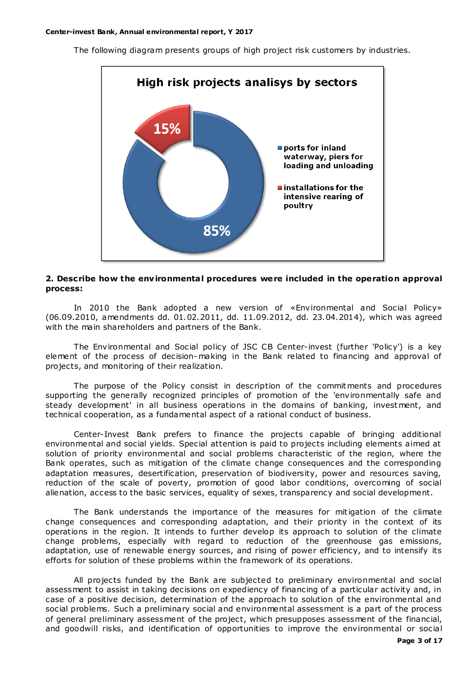The following diagram presents groups of high project risk customers by industries.



### **2. Describe how the env ironmenta l procedures were included in the operation approval process:**

In 2010 the Bank adopted a new version of «Environmental and Social Policy» (06.09.2010, amendments dd. 01.02.2011, dd. 11.09.2012, dd. 23.04.2014), which was agreed with the main shareholders and partners of the Bank.

The Environmental and Social policy of JSC CB Center-invest (further 'Policy') is a key element of the process of decision- making in the Bank related to financing and approval of projects, and monitoring of their realization.

The purpose of the Policy consist in description of the commitments and procedures supporting the generally recognized principles of promotion of the 'environmentally safe and steady development' in all business operations in the domains of banking, investment, and technical cooperation, as a fundamental aspect of a rational conduct of business.

Center-Invest Bank prefers to finance the projects capable of bringing additional environmental and social yields. Special attention is paid to projects including elements aimed at solution of priority environmental and social problems characteristic of the region, where the Bank operates, such as mitigation of the climate change consequences and the corresponding adaptation measures, desertification, preservation of biodiversity, power and resources saving, reduction of the scale of poverty, promotion of good labor conditions, overcoming of social alienation, access to the basic services, equality of sexes, transparency and social development.

The Bank understands the importance of the measures for mit igation of the climate change consequences and corresponding adaptation, and their priority in the context of its operations in the region. It intends to further develop its approach to solution of the climate change problems, especially with regard to reduction of the greenhouse gas emissions, adaptation, use of renewable energy sources, and rising of power efficiency, and to intensify its efforts for solution of these problems within the framework of its operations.

All projects funded by the Bank are subjected to preliminary environmental and social assessment to assist in taking decisions on expediency of financing of a particular activity and, in case of a positive decision, determination of the approach to solution of the environmental and social problems. Such a preliminary social and environmental assessment is a part of the process of general preliminary assessment of the project, which presupposes assessment of the financial, and goodwill risks, and identification of opportunities to improve the environmental or social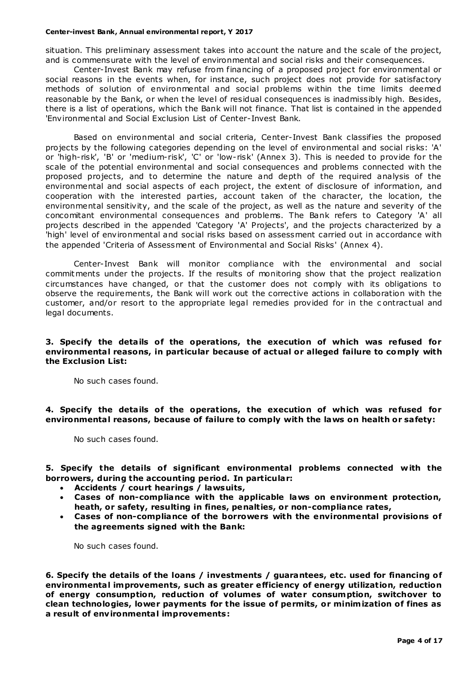situation. This preliminary assessment takes into account the nature and the scale of the project, and is commensurate with the level of environmental and social risks and their consequences.

Center-Invest Bank may refuse from financing of a proposed project for environmental or social reasons in the events when, for instance, such project does not provide for satisfactory methods of solution of environmental and social problems within the time limits deemed reasonable by the Bank, or when the level of residual consequences is inadmissibly high. Besides, there is a list of operations, which the Bank will not finance. That list is contained in the appended 'Environmental and Social Exclusion List of Center-Invest Bank.

Based on environmental and social criteria, Center-Invest Bank classifies the proposed projects by the following categories depending on the level of environmental and social risks: 'A' or 'high-risk', 'B' or 'medium-risk', 'C' or 'low-risk' (Annex 3). This is needed to provide for the scale of the potential environmental and social consequences and problems connected with the proposed projects, and to determine the nature and depth of the required analysis of the environmental and social aspects of each project, the extent of disclosure of information, and cooperation with the interested parties, account taken of the character, the location, the environmental sensitivity, and the scale of the project, as well as the nature and severity of the concomitant environmental consequences and problems. The Bank refers to Category 'A' all projects described in the appended 'Category 'A' Projects', and the projects characterized by a 'high' level of environmental and social risks based on assessment carried out in accordance with the appended 'Criteria of Assessment of Environmental and Social Risks' (Annex 4).

Center-Invest Bank will monitor compliance with the environmental and social commitments under the projects. If the results of monitoring show that the project realization circumstances have changed, or that the customer does not comply with its obligations to observe the requirements, the Bank will work out the corrective actions in collaboration with the customer, and/or resort to the appropriate legal remedies provided for in the c ontractual and legal documents.

# **3. Specify the deta ils of the operations, the execution of which was refused for environmenta l reasons, in particular because of actual or alleged failure to comply with the Exclusion List:**

No such cases found.

**4. Specify the deta ils of the operations, the execution of which was refused for environmenta l reasons, because of failure to comply with the laws on health or safety:**

No such cases found.

**5. Spec ify the details of significant environmental problems connected with the borrowers, during the accounting period. In particular:**

- **Accidents / court hearings / lawsuits,**
- **Cases of non-compliance with the applicable laws on environment protection, heath, or safety, resulting in fines, penalties, or non-compliance rates,**
- **Cases of non-compliance of the borrowers with the environmental provisions of the agreements signed with the Bank:**

No such cases found.

**6. Specify the details of the loans / investments / guarantees, etc. used for financing of environmenta l improvements, such as greater efficiency of energy utilization, reduction of energy consumption, reduction of volumes of water consumption, switchover to clean technologies, lower payments for the issue of permits, or minim ization of fines as a result of env ironmenta l improvements:**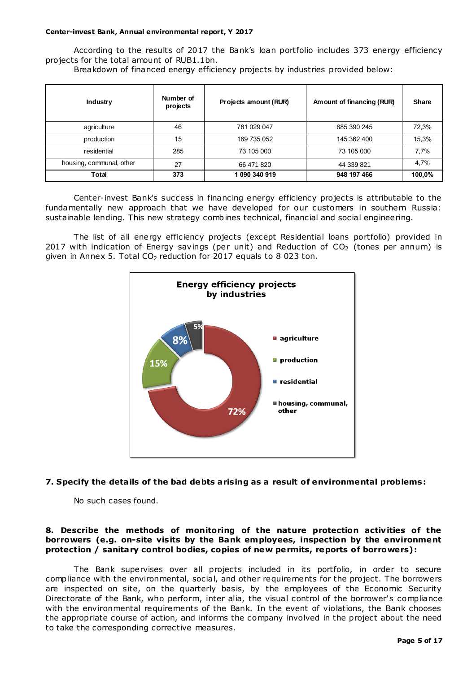According to the results of 2017 the Bank's loan portfolio includes 373 energy efficiency projects for the total amount of RUB1.1bn.

Breakdown of financed energy efficiency projects by industries provided below:

| <b>Industry</b>          | Number of<br>projects | Projects amount (RUR) | Amount of financing (RUR) | <b>Share</b> |
|--------------------------|-----------------------|-----------------------|---------------------------|--------------|
| agriculture              | 46                    | 781 029 047           | 685 390 245               | 72,3%        |
| production               | 15                    | 169 735 052           | 145 362 400               | 15,3%        |
| residential              | 285                   | 73 105 000            | 73 105 000                | 7,7%         |
| housing, communal, other | 27                    | 66 471 820            | 44 339 821                | 4,7%         |
| Total                    | 373                   | 1 090 340 919         | 948 197 466               | 100,0%       |

Center-invest Bank's success in financing energy efficiency projects is attributable to the fundamentally new approach that we have developed for our customers in southern Russia: sustainable lending. This new strategy combines technical, financial and social engineering.

The list of all energy efficiency projects (except Residential loans portfolio) provided in 2017 with indication of Energy savings (per unit) and Reduction of  $CO<sub>2</sub>$  (tones per annum) is given in Annex 5. Total  $CO<sub>2</sub>$  reduction for 2017 equals to 8 023 ton.



# **7. Specify the deta ils of the bad debts aris ing as a result of environmental problems:**

No such cases found.

# **8. Describe the methods of monitoring of the nature protection activ ities of the**  borrowers (e.g. on-site visits by the Bank employees, inspection by the environment **protection / sanitary control bodies, copies of new permits, reports of borrowers):**

The Bank supervises over all projects included in its portfolio, in order to secure compliance with the environmental, social, and other requirements for the project. The borrowers are inspected on site, on the quarterly basis, by the employees of the Economic Security Directorate of the Bank, who perform, inter alia, the visual control of the borrower's compliance with the environmental requirements of the Bank. In the event of violations, the Bank chooses the appropriate course of action, and informs the company involved in the project about the need to take the corresponding corrective measures.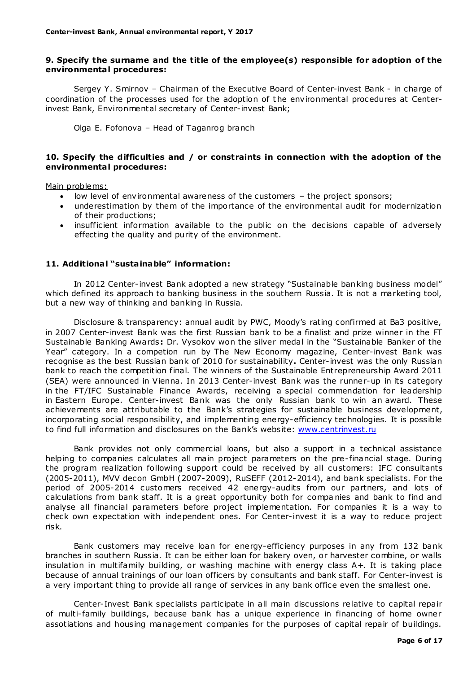# **9. Spec ify the surname and the title of the employee(s) responsible for adoption of the environmenta l procedures:**

Sergey Y. Smirnov – Chairman of the Executive Board of Center-invest Bank - in charge of coordination of the processes used for the adoption of the environmental procedures at Centerinvest Bank, Environmental secretary of Center-invest Bank;

Olga E. Fofonova – Head of Taganrog branch

# **10. Specify the difficulties and / or constraints in connection with the adoption of the environmenta l procedures:**

Main problems:

- low level of environmental awareness of the customers the project sponsors;
- underestimation by them of the importance of the environmental audit for modernization of their productions;
- insufficient information available to the public on the decisions capable of adversely effecting the quality and purity of the environment.

# **11. Additiona l "susta inable" information:**

In 2012 Center-invest Bank adopted a new strategy "Sustainable banking business model" which defined its approach to banking business in the southern Russia. It is not a marketing tool, but a new way of thinking and banking in Russia.

Disclosure & transparency: annual audit by PWC, Moody's rating confirmed at Ba3 positive, in 2007 Center-invest Bank was the first Russian bank to be a finalist and prize winner in the FT Sustainable Banking Awards **:** Dr. Vysokov won the silver medal in the "Sustainable Banker of the Year" category. In a competion run by The New Economy magazine, Center-invest Bank was recognise as the best Russian bank of 2010 for sustainability**.** Center-invest was the only Russian bank to reach the competition final. The winners of the Sustainable Entrepreneurship Award 2011 (SEA) were announced in Vienna. In 2013 Center-invest Bank was the runner-up in its category in the FT/IFC Sustainable Finance Awards, receiving a special commendation for leadership in Eastern Europe. Center-invest Bank was the only Russian bank to win an award. These achievements are attributable to the Bank's strategies for sustainable business development, incorporating social responsibility, and implementing energy-efficiency technologies. It is possible to find full information and disclosures on the Bank's website: [www.centrinvest.ru](http://www.centrinvest.ru/)

Bank provides not only commercial loans, but also a support in a technical assistance helping to companies calculates all main project parameters on the pre-financial stage. During the program realization following support could be received by all customers: IFC consultants (2005-2011), MVV decon GmbH (2007-2009), RuSEFF (2012-2014), and bank specialists. For the period of 2005-2014 customers received 42 energy-audits from our partners, and lots of calculations from bank staff. It is a great opportunity both for compa nies and bank to find and analyse all financial parameters before project implementation. For companies it is a way to check own expectation with independent ones. For Center-invest it is a way to reduce project risk.

Bank customers may receive loan for energy-efficiency purposes in any from 132 bank branches in southern Russia. It can be either loan for bakery oven, or harvester combine, or walls insulation in multifamily building, or washing machine with energy class A+. It is taking place because of annual trainings of our loan officers by consultants and bank staff. For Center-invest is a very important thing to provide all range of services in any bank office even the smallest one.

Center-Invest Bank specialists participate in all main discussions relative to capital repair of multi-family buildings, because bank has a unique experience in financing of home owner assotiations and housing management companies for the purposes of capital repair of buildings.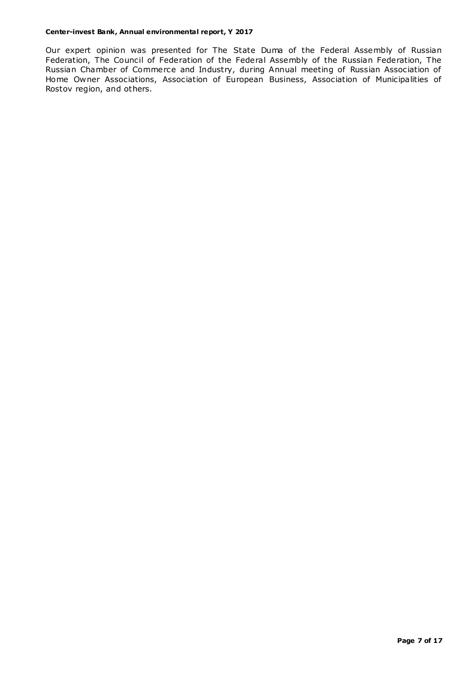Our expert opinion was presented for The State Duma of the Federal Assembly of Russian Federation, The Council of Federation of the Federal Assembly of the Russian Federation, The Russian Chamber of Commerce and Industry, during Annual meeting of Russian Association of Home Owner Associations, Association of European Business, Association of Municipalities of Rostov region, and others.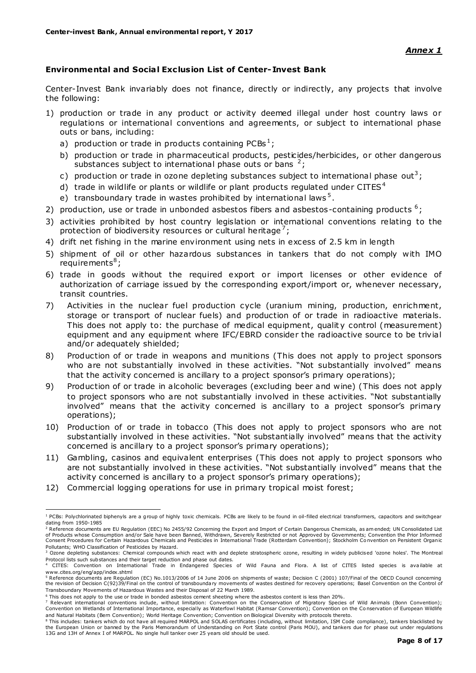# **Environmental and Socia l Exc lus ion List of Center-Invest Bank**

Center-Invest Bank invariably does not finance, directly or indirectly, any projects that involve the following:

- 1) production or trade in any product or activity deemed illegal under host country laws or regulations or international conventions and agreements, or subject to international phase outs or bans, including:
	- a) production or trade in products containing PCBs<sup>1</sup>;
	- b) production or trade in pharmaceutical products, pesticides/herbicides, or other dangerous substances subject to international phase outs or bans  $2$ ;
	- c) production or trade in ozone depleting substances subject to international phase out<sup>3</sup>;
	- d) trade in wildlife or plants or wildlife or plant products regulated under  $CITES<sup>4</sup>$
	- e) transboundary trade in wastes prohibited by international laws<sup>5</sup>.
- 2) production, use or trade in unbonded asbestos fibers and asbestos-containing products  $6$ ;
- 3) activities prohibited by host country legislation or international conventions relating to the protection of biodiversity resources or cultural heritage<sup>7</sup>;
- 4) drift net fishing in the marine environment using nets in excess of 2.5 km in length
- 5) shipment of oil or other hazardous substances in tankers that do not comply with IMO require ments $^8$  ;
- 6) trade in goods without the required export or import licenses or other evidence of authorization of carriage issued by the corresponding export/import or, whenever necessary, transit countries.
- 7) Activities in the nuclear fuel production cycle (uranium mining, production, enrichment, storage or transport of nuclear fuels) and production of or trade in radioactive materials. This does not apply to: the purchase of medical equipment, quality control (measurement) equipment and any equipment where IFC/EBRD consider the radioactive source to be trivial and/or adequately shielded;
- 8) Production of or trade in weapons and munitions (This does not apply to project sponsors who are not substantially involved in these activities. "Not substantially involved" means that the activity concerned is ancillary to a project sponsor's primary operations);
- 9) Production of or trade in alcoholic beverages (excluding beer and wine) (This does not apply to project sponsors who are not substantially involved in these activities. "Not substantially involved" means that the activity concerned is ancillary to a project sponsor's primary operations);
- 10) Production of or trade in tobacco (This does not apply to project sponsors who are not substantially involved in these activities. "Not substantially involved" means that the activity concerned is ancillary to a project sponsor's primary operations);
- 11) Gambling, casinos and equivalent enterprises (This does not apply to project sponsors who are not substantially involved in these activities. "Not substantially involved" means that the activity concerned is ancillary to a project sponsor's primary operations);
- 12) Commercial logging operations for use in primary tropical moist forest;

 $\overline{a}$  $^{1}$  PCBs: Polychlorinated biphenyls are a group of highly toxic chemicals. PCBs are likely to be found in oil-filled electrical transformers, capacitors and switchgear dating from 1950-1985

<sup>&</sup>lt;sup>2</sup> Reference documents are EU Regulation (EEC) No 2455/92 Concerning the Export and Import of Certain Dangerous Chemicals, as am ended; UN Consolidated List of Products whose Consumption and/or Sale have been Banned, Withdrawn, Severely Restricted or not Approved by Governments; Convention the Prior Informed<br>Consent Procedures for Certain Hazardous Chemicals and Pesticides in Pollutants; WHO Classification of Pesticides by Hazard.

<sup>&</sup>lt;sup>3</sup> Ozone depleting substances: Chemical compounds which react with and deplete stratospheric ozone, resulting in widely publicised 'ozone holes'. The Montreal Protocol lists such sub stances and their target reduction and phase out dates.

<sup>4</sup> CITES: Convention on International Trade in Endangered Species of Wild Fauna and Flora. A list of CITES listed species is ava ilable at www.cites.org/eng/app/index.shtml

<sup>&</sup>lt;sup>5</sup> Reference documents are Regulation (EC) No.1013/2006 of 14 June 2006 on shipments of waste; Decision C (2001) 107/Final of the OECD Council concerning<br>the revision of Decision C(92)39/Final on the control of transbound Transboundary Movements of Hazardous Wastes and their Disposal of 22 March 1989.

 $6$  This does not apply to the use or trade in bonded asbestos cement sheeting where the asbestos content is less than 20%.

<sup>7</sup> Relevant international conventions include, without limitation: Convention on the Conservation of Migratory Species of Wild Animals (Bonn Convention); Convention on Wetlands of International Importance, especially as Waterfowl Habitat (Ramsar Convention); Convention on the Co nservation of European Wildlife and Natural Habitats (Bern Convention); World Heritage Convention; Convention on Biological Diversity with protocols thereto.

<sup>&</sup>lt;sup>8</sup> This includes: tankers which do not have all required MARPOL and SOLAS certificates (including, without limitation, ISM Code compliance), tankers blacklisted by the European Union or banned by the Paris Memorandum of Understanding on Port State control (Paris MOU), and tankers due for phase out under regulations 13G and 13H of Annex I of MARPOL. No single hull tanker over 25 years old should be used.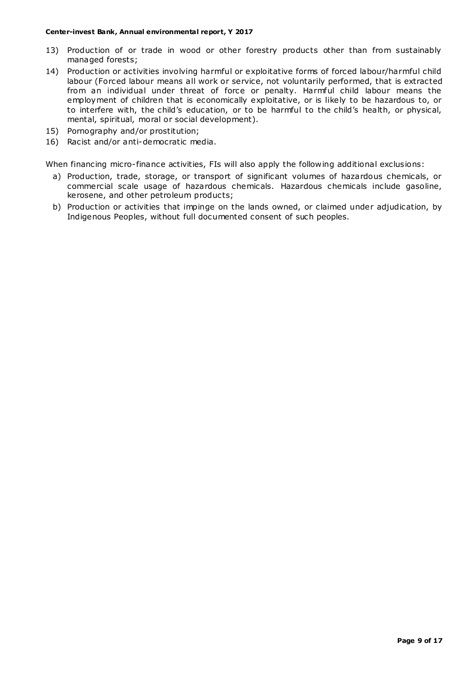- 13) Production of or trade in wood or other forestry products other than from sustainably managed forests;
- 14) Production or activities involving harmful or exploitative forms of forced labour/harmful child labour (Forced labour means all work or service, not voluntarily performed, that is extracted from an individual under threat of force or penalty. Harmful child labour means the employment of children that is economically exploitative, or is likely to be hazardous to, or to interfere with, the child's education, or to be harmful to the child's health, or physical, mental, spiritual, moral or social development).
- 15) Pornography and/or prostitution;
- 16) Racist and/or anti-democratic media.

When financing micro-finance activities, FIs will also apply the following additional exclusions:

- a) Production, trade, storage, or transport of significant volumes of hazardous chemicals, or commercial scale usage of hazardous chemicals. Hazardous chemicals include gasoline, kerosene, and other petroleum products;
- b) Production or activities that impinge on the lands owned, or claimed under adjudication, by Indigenous Peoples, without full documented consent of such peoples.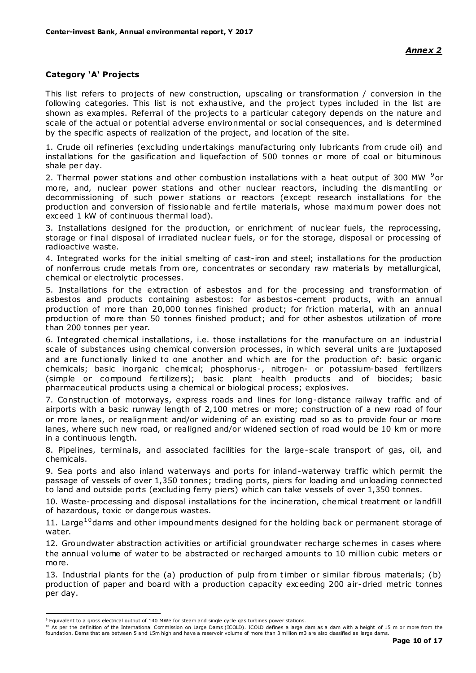# **Category 'A' Projects**

This list refers to projects of new construction, upscaling or transformation / conversion in the following categories. This list is not exhaustive, and the project types included in the list are shown as examples. Referral of the projects to a particular category depends on the nature and scale of the actual or potential adverse environmental or social consequences, and is determined by the specific aspects of realization of the project, and location of the site.

1. Crude oil refineries (excluding undertakings manufacturing only lubricants from crude oil) and installations for the gasification and liquefaction of 500 tonnes or more of coal or bituminous shale per day.

2. Thermal power stations and other combustion installations with a heat output of 300 MW <sup>9</sup>or more, and, nuclear power stations and other nuclear reactors, including the dismantling or decommissioning of such power stations or reactors (except research installations for the production and conversion of fissionable and fertile materials, whose maximum power does not exceed 1 kW of continuous thermal load).

3. Installations designed for the production, or enrichment of nuclear fuels, the reprocessing, storage or final disposal of irradiated nuclear fuels, or for the storage, disposal or processing of radioactive waste.

4. Integrated works for the initial smelting of cast-iron and steel; installations for the production of nonferrous crude metals from ore, concentrates or secondary raw materials by metallurgical, chemical or electrolytic processes.

5. Installations for the extraction of asbestos and for the processing and transformation of asbestos and products containing asbestos: for asbestos-cement products, with an annual production of more than 20,000 tonnes finished product; for friction material, with an annual production of more than 50 tonnes finished product; and for other asbestos utilization of more than 200 tonnes per year.

6. Integrated chemical installations, i.e. those installations for the manufacture on an industrial scale of substances using chemical conversion processes, in which several units are juxtaposed and are functionally linked to one another and which are for the production of: basic organic chemicals; basic inorganic chemical; phosphorus-, nitrogen- or potassium-based fertilizers (simple or compound fertilizers); basic plant health products and of biocides; basic pharmaceutical products using a chemical or biological process; explosives.

7. Construction of motorways, express roads and lines for long-distance railway traffic and of airports with a basic runway length of 2,100 metres or more; construction of a new road of four or more lanes, or realignment and/or widening of an existing road so as to provide four or more lanes, where such new road, or realigned and/or widened section of road would be 10 km or more in a continuous length.

8. Pipelines, terminals, and associated facilities for the large-scale transport of gas, oil, and chemicals.

9. Sea ports and also inland waterways and ports for inland-waterway traffic which permit the passage of vessels of over 1,350 tonnes; trading ports, piers for loading and unloading connected to land and outside ports (excluding ferry piers) which can take vessels of over 1,350 tonnes.

10. Waste-processing and disposal installations for the incineration, chemical treatment or landfill of hazardous, toxic or dangerous wastes.

11. Large<sup>10</sup> dams and other impoundments designed for the holding back or permanent storage of water.

12. Groundwater abstraction activities or artificial groundwater recharge schemes in cases where the annual volume of water to be abstracted or recharged amounts to 10 million cubic meters or more.

13. Industrial plants for the (a) production of pulp from timber or similar fibrous materials; (b) production of paper and board with a production capacity exceeding 200 air-dried metric tonnes per day.

 $\overline{a}$ 

<sup>10</sup> As per the definition of the International Commission on Large Dams (ICOLD). ICOLD defines a large dam as a dam with a height of 15 m or more from the foundation. Dams that are between 5 and 15m high and have a reservoir volume of more than 3 million m3 are also classified as large dams.

<sup>9</sup> Equivalent to a gross electrical output of 140 MWe for steam and single cycle gas turbines power stations.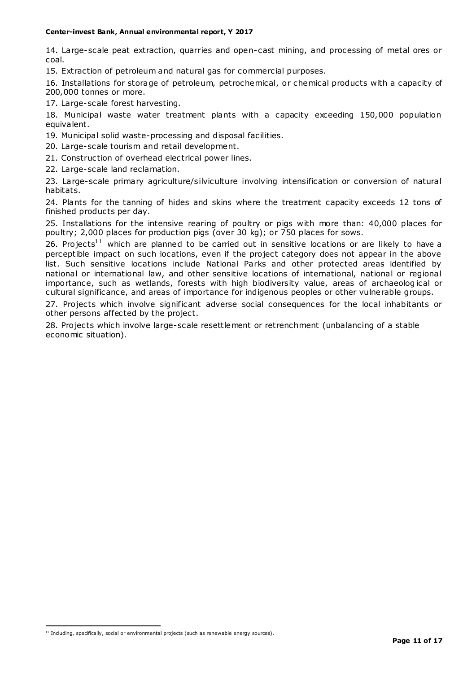14. Large-scale peat extraction, quarries and open-cast mining, and processing of metal ores or coal.

15. Extraction of petroleum and natural gas for commercial purposes.

16. Installations for storage of petroleum, petrochemical, or chemical products with a capacity of 200,000 tonnes or more.

17. Large-scale forest harvesting.

18. Municipal waste water treatment plants with a capacity exceeding 150,000 population equivalent.

19. Municipal solid waste-processing and disposal facilities.

20. Large-scale tourism and retail development.

21. Construction of overhead electrical power lines.

22. Large-scale land reclamation.

23. Large-scale primary agriculture/silviculture involving intensification or conversion of natural habitats.

24. Plants for the tanning of hides and skins where the treatment capacity exceeds 12 tons of finished products per day.

25. Installations for the intensive rearing of poultry or pigs with more than: 40,000 places for poultry; 2,000 places for production pigs (over 30 kg); or 750 places for sows.

26. Projects<sup>11</sup> which are planned to be carried out in sensitive locations or are likely to have a perceptible impact on such locations, even if the project category does not appear in the above list. Such sensitive locations include National Parks and other protected areas identified by national or international law, and other sensitive locations of international, national or regional importance, such as wetlands, forests with high biodiversity value, areas of archaeolog ical or cultural significance, and areas of importance for indigenous peoples or other vulnerable groups.

27. Projects which involve significant adverse social consequences for the local inhabitants or other persons affected by the project.

28. Projects which involve large-scale resettlement or retrenchment (unbalancing of a stable economic situation).

 $\overline{a}$ 

 $11$  Including, specifically, social or environmental projects (such as renewable energy sources).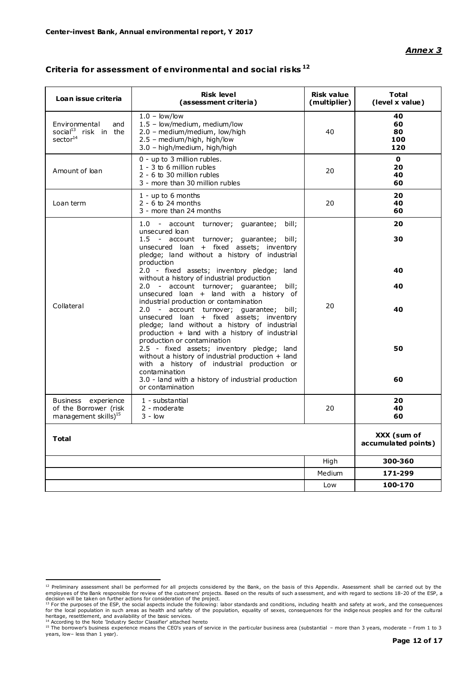# *Annex 3*

| Loan issue criteria                                                              | <b>Risk level</b><br>(assessment criteria)                                                                                                                                                                                               | <b>Risk value</b><br>(multiplier) | <b>Total</b><br>(level x value)    |
|----------------------------------------------------------------------------------|------------------------------------------------------------------------------------------------------------------------------------------------------------------------------------------------------------------------------------------|-----------------------------------|------------------------------------|
| Environmental<br>and<br>social <sup>13</sup> risk in the<br>sector <sup>14</sup> | $1.0 - low/low$<br>1.5 - low/medium, medium/low<br>2.0 - medium/medium, low/high<br>2.5 - medium/high, high/low<br>3.0 - high/medium, high/high                                                                                          | 40                                | 40<br>60<br>80<br>100<br>120       |
| Amount of loan                                                                   | 0 - up to 3 million rubles.<br>1 - 3 to 6 million rubles<br>2 - 6 to 30 million rubles<br>3 - more than 30 million rubles                                                                                                                | 20                                | $\mathbf{0}$<br>20<br>40<br>60     |
| Loan term                                                                        | 1 - up to 6 months<br>$2 - 6$ to 24 months<br>3 - more than 24 months                                                                                                                                                                    | 20                                | 20<br>40<br>60                     |
|                                                                                  | 1.0 - account turnover; quarantee;<br>bill:<br>unsecured loan<br>1.5 - account turnover; quarantee; bill;<br>unsecured loan + fixed assets; inventory<br>pledge; land without a history of industrial<br>production                      |                                   | 20<br>30                           |
|                                                                                  | 2.0 - fixed assets; inventory pledge; land<br>without a history of industrial production<br>2.0 - account turnover; guarantee;<br>bill;<br>unsecured loan + land with a history of<br>industrial production or contamination             |                                   | 40<br>40                           |
| Collateral                                                                       | 2.0 - account turnover; guarantee; bill;<br>unsecured loan + fixed assets; inventory<br>pledge; land without a history of industrial<br>production + land with a history of industrial<br>production or contamination                    | 20                                | 40                                 |
|                                                                                  | 2.5 - fixed assets; inventory pledge; land<br>without a history of industrial production + land<br>with a history of industrial production or<br>contamination<br>3.0 - land with a history of industrial production<br>or contamination |                                   | 50<br>60                           |
| Business experience<br>of the Borrower (risk<br>management skills) <sup>15</sup> | 1 - substantial<br>2 - moderate<br>$3 - \text{low}$                                                                                                                                                                                      | 20                                | 20<br>40<br>60                     |
| <b>Total</b>                                                                     |                                                                                                                                                                                                                                          |                                   | XXX (sum of<br>accumulated points) |
|                                                                                  |                                                                                                                                                                                                                                          | High                              | 300-360                            |
|                                                                                  |                                                                                                                                                                                                                                          | Medium                            | 171-299                            |
|                                                                                  |                                                                                                                                                                                                                                          | Low                               | 100-170                            |

# **Criteria for assessment of environmental and soc ial risks <sup>12</sup>**

<sup>12</sup> Preliminary assessment shall be performed for all projects considered by the Bank, on the basis of this Appendix. Assessment shall be carried out by the interpret out by the state out by the state out by the state out b

employees of the Bank responsible for review of the customers' projects. Based on the results of such assessment, and with regard to sections 18-20 of the ESP, a<br>decision will be taken on further actions for consideration

<sup>15</sup> The borrower's business experience means the CEO's years of service in the particular business area (substantial – more than 3 years, moderate – f rom 1 to 3 years, low– less than 1 year).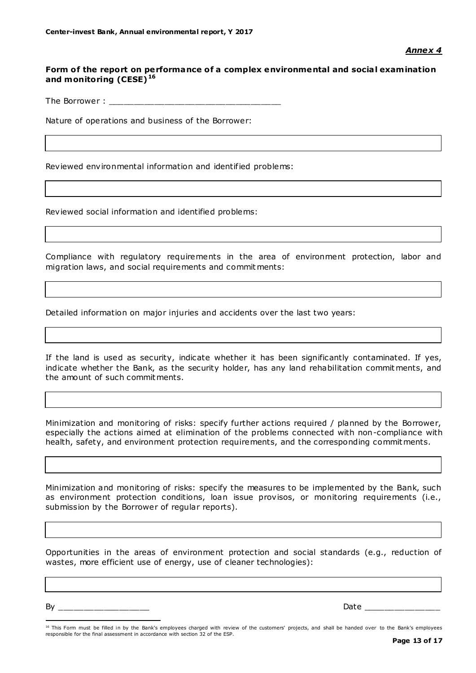# Form of the report on performance of a complex environmental and social examination **and monitoring (CESE) <sup>16</sup>**

The Borrower :

Nature of operations and business of the Borrower:

Reviewed environmental information and identified problems:

Reviewed social information and identified problems:

Compliance with regulatory requirements in the area of environment protection, labor and migration laws, and social requirements and commitments:

Detailed information on major injuries and accidents over the last two years:

If the land is used as security, indicate whether it has been significantly contaminated. If yes, indicate whether the Bank, as the security holder, has any land rehabilitation commitments, and the amount of such commitments.

Minimization and monitoring of risks: specify further actions required / planned by the Borrower, especially the actions aimed at elimination of the problems connected with non-compliance with health, safety, and environment protection requirements, and the corresponding commitments.

Minimization and monitoring of risks: specify the measures to be implemented by the Bank, such as environment protection conditions, loan issue provisos, or monitoring requirements (i.e., submission by the Borrower of regular reports).

Opportunities in the areas of environment protection and social standards (e.g., reduction of wastes, more efficient use of energy, use of cleaner technologies):

By \_\_\_\_\_\_\_\_\_\_\_\_\_\_\_\_\_\_ Date \_\_\_\_\_\_\_\_\_\_\_\_\_\_\_

 $\overline{a}$ 

<sup>&</sup>lt;sup>16</sup> This Form must be filled in by the Bank's employees charged with review of the customers' projects, and shall be handed over to the Bank's employees responsible for the final assessment in accordance with section 32 of the ESP.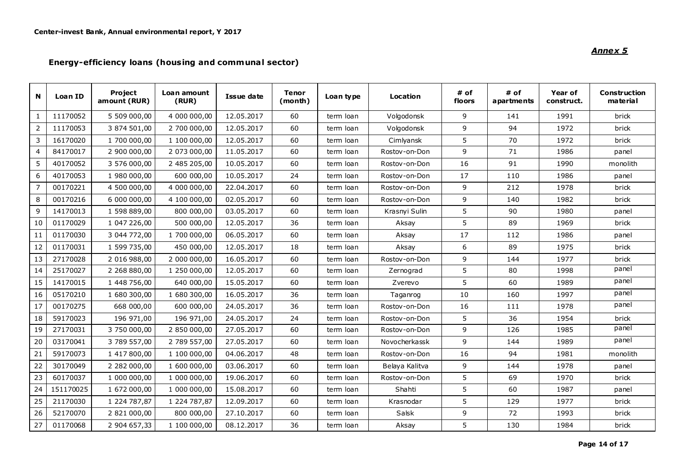# **Energy-effic iency loans (hous ing and communa l sector)**

| N              | Loan ID   | Project<br>amount (RUR) | Loan amount<br>(RUR) | Issue date | <b>Tenor</b><br>(month) | Loan type | Location       | # of<br>floors | # of<br>apartments | Year of<br>construct. | Construction<br>material |
|----------------|-----------|-------------------------|----------------------|------------|-------------------------|-----------|----------------|----------------|--------------------|-----------------------|--------------------------|
| $\mathbf{1}$   | 11170052  | 5 509 000,00            | 4 000 000,00         | 12.05.2017 | 60                      | term loan | Volgodonsk     | 9              | 141                | 1991                  | brick                    |
| $\overline{2}$ | 11170053  | 3 874 501,00            | 2 700 000,00         | 12.05.2017 | 60                      | term loan | Volgodonsk     | 9              | 94                 | 1972                  | brick                    |
| 3              | 16170020  | 1 700 000,00            | 1 100 000,00         | 12.05.2017 | 60                      | term loan | Cimlyansk      | 5              | 70                 | 1972                  | brick                    |
| 4              | 84170017  | 2 900 000,00            | 2 073 000,00         | 11.05.2017 | 60                      | term loan | Rostov-on-Don  | 9              | 71                 | 1986                  | panel                    |
| 5              | 40170052  | 3 576 000,00            | 2 485 205,00         | 10.05.2017 | 60                      | term loan | Rostov-on-Don  | 16             | 91                 | 1990                  | monolith                 |
| 6              | 40170053  | 1 980 000,00            | 600 000,00           | 10.05.2017 | 24                      | term loan | Rostov-on-Don  | 17             | 110                | 1986                  | panel                    |
| $\overline{7}$ | 00170221  | 4 500 000,00            | 4 000 000,00         | 22.04.2017 | 60                      | term loan | Rostov-on-Don  | 9              | 212                | 1978                  | brick                    |
| 8              | 00170216  | 6 000 000,00            | 4 100 000,00         | 02.05.2017 | 60                      | term loan | Rostov-on-Don  | 9              | 140                | 1982                  | brick                    |
| 9              | 14170013  | 1 598 889,00            | 800 000,00           | 03.05.2017 | 60                      | term loan | Krasnyi Sulin  | 5              | 90                 | 1980                  | panel                    |
| 10             | 01170029  | 1 047 226,00            | 500 000,00           | 12.05.2017 | 36                      | term loan | Aksay          | 5              | 89                 | 1969                  | brick                    |
| 11             | 01170030  | 3 044 772,00            | 1 700 000,00         | 06.05.2017 | 60                      | term loan | Aksay          | 17             | 112                | 1986                  | panel                    |
| 12             | 01170031  | 1 599 735,00            | 450 000,00           | 12.05.2017 | 18                      | term loan | Aksay          | 6              | 89                 | 1975                  | brick                    |
| 13             | 27170028  | 2 016 988,00            | 2 000 000,00         | 16.05.2017 | 60                      | term loan | Rostov-on-Don  | 9              | 144                | 1977                  | brick                    |
| 14             | 25170027  | 2 268 880,00            | 1 250 000,00         | 12.05.2017 | 60                      | term loan | Zernograd      | 5              | 80                 | 1998                  | panel                    |
| 15             | 14170015  | 1 448 756,00            | 640 000,00           | 15.05.2017 | 60                      | term loan | Zverevo        | 5              | 60                 | 1989                  | panel                    |
| 16             | 05170210  | 1 680 300,00            | 1 680 300,00         | 16.05.2017 | 36                      | term loan | Taganrog       | 10             | 160                | 1997                  | panel                    |
| 17             | 00170275  | 668 000,00              | 600 000,00           | 24.05.2017 | 36                      | term loan | Rostov-on-Don  | 16             | 111                | 1978                  | panel                    |
| 18             | 59170023  | 196 971,00              | 196 971,00           | 24.05.2017 | 24                      | term loan | Rostov-on-Don  | 5              | 36                 | 1954                  | brick                    |
| 19             | 27170031  | 3 750 000,00            | 2 850 000,00         | 27.05.2017 | 60                      | term loan | Rostov-on-Don  | 9              | 126                | 1985                  | panel                    |
| 20             | 03170041  | 3 789 557,00            | 2 789 557,00         | 27.05.2017 | 60                      | term loan | Novocherkassk  | 9              | 144                | 1989                  | panel                    |
| 21             | 59170073  | 1 417 800,00            | 1 100 000,00         | 04.06.2017 | 48                      | term loan | Rostov-on-Don  | 16             | 94                 | 1981                  | monolith                 |
| 22             | 30170049  | 2 282 000,00            | 1 600 000,00         | 03.06.2017 | 60                      | term loan | Belaya Kalitva | 9              | 144                | 1978                  | panel                    |
| 23             | 60170037  | 1 000 000,00            | 1 000 000,00         | 19.06.2017 | 60                      | term loan | Rostov-on-Don  | 5              | 69                 | 1970                  | brick                    |
| 24             | 151170025 | 1 672 000,00            | 1 000 000,00         | 15.08.2017 | 60                      | term loan | Shahti         | 5              | 60                 | 1987                  | panel                    |
| 25             | 21170030  | 1 224 787,87            | 1 224 787,87         | 12.09.2017 | 60                      | term loan | Krasnodar      | 5              | 129                | 1977                  | brick                    |
| 26             | 52170070  | 2 821 000,00            | 800 000,00           | 27.10.2017 | 60                      | term loan | Salsk          | $\overline{9}$ | 72                 | 1993                  | brick                    |
| 27             | 01170068  | 2 904 657,33            | 1 100 000,00         | 08.12.2017 | 36                      | term loan | Aksay          | 5              | 130                | 1984                  | brick                    |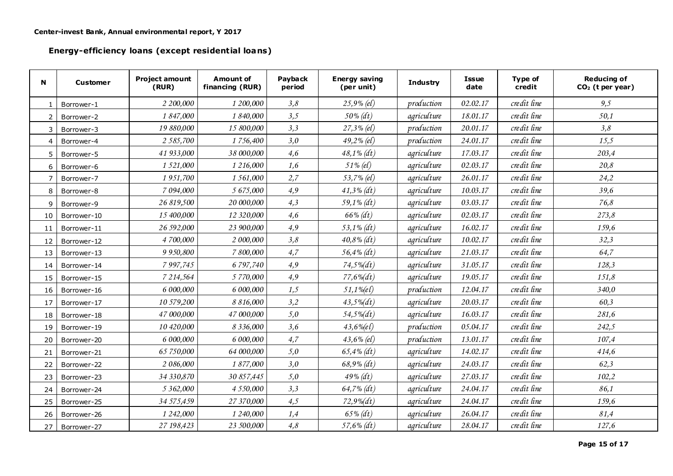**Energy-effic iency loans (except residential loans)**

| N              | <b>Customer</b> | <b>Project amount</b><br>(RUR) | <b>Amount of</b><br>financing (RUR) | Payback<br>period | <b>Energy saving</b><br>(per unit) | <b>Industry</b> | <b>Issue</b><br>date | Type of<br>credit | <b>Reducing of</b><br>$CO2$ (t per year) |
|----------------|-----------------|--------------------------------|-------------------------------------|-------------------|------------------------------------|-----------------|----------------------|-------------------|------------------------------------------|
| $\mathbf{1}$   | Borrower-1      | 2 200,000                      | 1 200,000                           | 3,8               | $25,9\%$ (el)                      | production      | 02.02.17             | credit line       | 9,5                                      |
| $\overline{2}$ | Borrower-2      | 1 847,000                      | 1 840,000                           | 3,5               | $50\%$ (dt)                        | agriculture     | 18.01.17             | credit line       | 50,1                                     |
| 3              | Borrower-3      | 19 880,000                     | 15 800,000                          | 3,3               | $27,3\%$ (el)                      | production      | 20.01.17             | credit line       | 3,8                                      |
| $\overline{4}$ | Borrower-4      | 2 5 85,700                     | 1756,400                            | 3,0               | $49,2\%$ (el)                      | production      | 24.01.17             | credit line       | 15,5                                     |
| 5              | Borrower-5      | 41 933,000                     | 38 000,000                          | 4,6               | $48,1\%$ (dt)                      | agriculture     | 17.03.17             | credit line       | 203,4                                    |
| 6              | Borrower-6      | 1 521,000                      | 1 216,000                           | 1,6               | 51% (el)                           | agriculture     | 02.03.17             | credit line       | 20,8                                     |
| $\overline{7}$ | Borrower-7      | 1951,700                       | 1561,000                            | 2,7               | 53,7% (el)                         | agriculture     | 26.01.17             | credit line       | 24,2                                     |
| 8              | Borrower-8      | 7 094,000                      | 5 675,000                           | 4,9               | $41,3\%$ (dt)                      | agriculture     | 10.03.17             | credit line       | 39,6                                     |
| 9              | Borrower-9      | 26 819,500                     | 20 000,000                          | 4,3               | $59,1\%$ (dt)                      | agriculture     | 03.03.17             | credit line       | 76,8                                     |
| 10             | Borrower-10     | 15 400,000                     | 12 320,000                          | 4,6               | $66\%$ (dt)                        | agriculture     | 02.03.17             | credit line       | 273,8                                    |
| 11             | Borrower-11     | 26 592,000                     | 23 900,000                          | 4,9               | $53,1\%$ (dt)                      | agriculture     | 16.02.17             | credit line       | 159,6                                    |
| 12             | Borrower-12     | 4 700,000                      | 2 000,000                           | 3,8               | $40,8\%$ (dt)                      | agriculture     | 10.02.17             | credit line       | 32,3                                     |
| 13             | Borrower-13     | 9 9 50,800                     | 7800,000                            | 4,7               | $56,4\%$ (dt)                      | agriculture     | 21.03.17             | credit line       | 64,7                                     |
| 14             | Borrower-14     | 7 9 9 7, 7 4 5                 | 6797,740                            | 4,9               | $74,5\%$                           | agriculture     | 31.05.17             | credit line       | 128,3                                    |
| 15             | Borrower-15     | 7 214,564                      | 5770,000                            | 4,9               | $77,6\%$                           | agriculture     | 19.05.17             | credit line       | 151,8                                    |
| 16             | Borrower-16     | 6 000,000                      | 6 000,000                           | 1,5               | $51,1%$ (el)                       | production      | 12.04.17             | credit line       | 340,0                                    |
| 17             | Borrower-17     | 10 579,200                     | 8 8 16,000                          | 3,2               | $43,5\%$ (dt)                      | agriculture     | 20.03.17             | credit line       | 60,3                                     |
| 18             | Borrower-18     | 47 000,000                     | 47 000,000                          | 5,0               | $54,5\%$ (dt)                      | agriculture     | 16.03.17             | credit line       | 281,6                                    |
| 19             | Borrower-19     | 10 420,000                     | 8 3 3 6,000                         | 3,6               | $43,6%$ (el)                       | production      | 05.04.17             | credit line       | 242,5                                    |
| 20             | Borrower-20     | 6 000,000                      | 6 000,000                           | 4,7               | $43,6\%$ (el)                      | production      | 13.01.17             | credit line       | 107,4                                    |
| 21             | Borrower-21     | 65 750,000                     | 64 000,000                          | 5,0               | $65,4\%$ (dt)                      | agriculture     | 14.02.17             | credit line       | 414,6                                    |
| 22             | Borrower-22     | 2 086,000                      | 1877,000                            | 3,0               | $68,9\%$ (dt)                      | agriculture     | 24.03.17             | credit line       | 62,3                                     |
| 23             | Borrower-23     | 34 330,870                     | 30 857,445                          | 5,0               | $49\%$ (dt)                        | agriculture     | 27.03.17             | credit line       | 102,2                                    |
| 24             | Borrower-24     | 5 3 62,000                     | 4 5 50,000                          | 3,3               | $64,7\%$ (dt)                      | agriculture     | 24.04.17             | credit line       | 86,1                                     |
| 25             | Borrower-25     | 34 575,459                     | 27 370,000                          | 4,5               | $72,9\%$ (dt)                      | agriculture     | 24.04.17             | credit line       | 159,6                                    |
| 26             | Borrower-26     | 1 242,000                      | 1 240,000                           | 1,4               | $65\%$ (dt)                        | agriculture     | 26.04.17             | credit line       | 81,4                                     |
| 27             | Borrower-27     | 27 198,423                     | 23 500,000                          | 4,8               | $57,6\%$ (dt)                      | agriculture     | 28.04.17             | credit line       | 127,6                                    |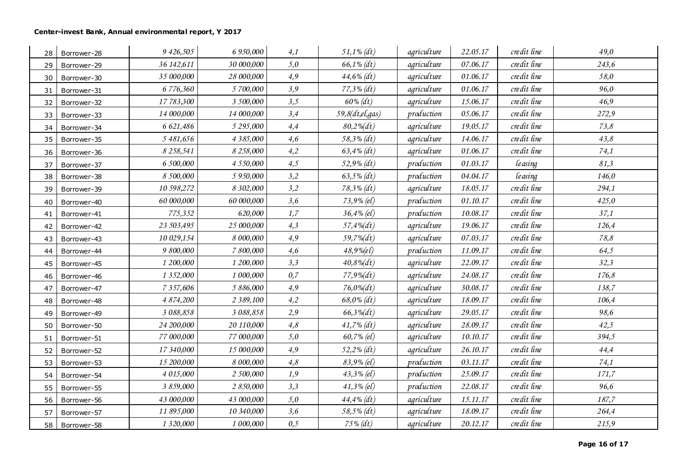| 28 | Borrower-28 | 9 426,505       | 6 950,000   | 4,1  | $51,1\%$ (dt)      | agriculture | 22.05.17 | credit line          | 49,0  |
|----|-------------|-----------------|-------------|------|--------------------|-------------|----------|----------------------|-------|
| 29 | Borrower-29 | 36 142,611      | 30 000,000  | 5,0  | $66,1\%$ (dt)      | agriculture | 07.06.17 | credit line          | 243,6 |
| 30 | Borrower-30 | 35 000,000      | 28 000,000  | 4,9  | $44,6\%$ (dt)      | agriculture | 01.06.17 | credit line          | 58,0  |
| 31 | Borrower-31 | 6 776,360       | 5 700,000   | 3,9  | $77,3\%$ (dt)      | agriculture | 01.06.17 | credit line          | 96,0  |
| 32 | Borrower-32 | 17 783,300      | 3 500,000   | 3,5  | $60\% (dt)$        | agriculture | 15.06.17 | credit line          | 46,9  |
| 33 | Borrower-33 | 14 000,000      | 14 000,000  | 3,4  | $59,8 (dt,el,gas)$ | production  | 05.06.17 | credit line          | 272,9 |
| 34 | Borrower-34 | 6 621,486       | 5 295,000   | 4,4  | 80,2%(dt)          | agriculture | 19.05.17 | credit line          | 73,8  |
| 35 | Borrower-35 | 5 481,656       | 4 3 85,000  | 4,6  | $58,3\%$ (dt)      | agriculture | 14.06.17 | credit line          | 43,8  |
| 36 | Borrower-36 | 8 2 5 8 , 5 4 1 | 8 258,000   | 4,2  | $63,4\%$ (dt)      | agriculture | 01.06.17 | credit line          | 74,1  |
| 37 | Borrower-37 | 6 500,000       | 4 550,000   | 4,5  | $52,9\%$ (dt)      | production  | 01.03.17 | leasing              | 81,3  |
| 38 | Borrower-38 | 8 500,000       | 5 950,000   | 3,2  | $63,5\%$ (dt)      | production  | 04.04.17 | leasing              | 146,0 |
| 39 | Borrower-39 | 10 598,272      | 8 302,000   | 3,2  | $78,3\%$ (dt)      | agriculture | 18.05.17 | credit line          | 294,1 |
| 40 | Borrower-40 | 60 000,000      | 60 000,000  | 3,6  | $73,9\%$ (el)      | production  | 01.10.17 | credit line          | 425,0 |
| 41 | Borrower-41 | 775,352         | 620,000     | 1,7  | $36,4%$ (el)       | production  | 10.08.17 | credit line          | 37,1  |
| 42 | Borrower-42 | 23 503,495      | 25 000,000  | 4,3  | 57,4%(dt)          | agriculture | 19.06.17 | credit line          | 126,4 |
| 43 | Borrower-43 | 10 029,154      | 8 000,000   | 4,9  | $59,7\%$ (dt)      | agriculture | 07.03.17 | credit line          | 78,8  |
| 44 | Borrower-44 | 9 800,000       | 7 800,000   | 4,6  | 48,9% (e l)        | production  | 11.09.17 | credit line          | 64,5  |
| 45 | Borrower-45 | 1 200,000       | 1 200,000   | 3,3  | $40,8\%$ (dt)      | agriculture | 22.09.17 | credit line          | 32,3  |
| 46 | Borrower-46 | 1 3 5 2,000     | 1 000,000   | 0,7  | 77,9%(dt)          | agriculture | 24.08.17 | credit line          | 176,8 |
| 47 | Borrower-47 | 7 3 5 7,606     | 5 886,000   | 4,9  | $76,0\%$ (dt)      | agriculture | 30.08.17 | credit line          | 138,7 |
| 48 | Borrower-48 | 4 874,200       | 2 3 89, 100 | 4,2  | $68,0\%$ (dt)      | agriculture | 18.09.17 | credit line          | 106,4 |
| 49 | Borrower-49 | 3 088,858       | 3 088,858   | 2,9  | $66,3\%$ (dt)      | agriculture | 29.05.17 | credit line          | 98,6  |
| 50 | Borrower-50 | 24 200,000      | 20 110,000  | 4,8  | $41,7\%$ (dt)      | agriculture | 28.09.17 | credit line          | 42,5  |
| 51 | Borrower-51 | 77 000,000      | 77 000,000  | 5,0  | 60,7% (el)         | agriculture | 10.10.17 | credit line          | 394,5 |
| 52 | Borrower-52 | 17 340,000      | 15 000,000  | 4,9  | $52,2\%$ (dt)      | agriculture | 26.10.17 | $\emph{credit line}$ | 44,4  |
| 53 | Borrower-53 | 15 200,000      | 8 000,000   | 4,8  | 83,9% (el)         | production  | 03.11.17 | credit line          | 74,1  |
| 54 | Borrower-54 | 4 015,000       | 2 500,000   | 1,9  | $43,3\%$ (el)      | production  | 25.09.17 | credit line          | 171,7 |
| 55 | Borrower-55 | 3 859,000       | 2 850,000   | 3,3  | $41,3\%$ (el)      | production  | 22.08.17 | credit line          | 96,6  |
| 56 | Borrower-56 | 43 000,000      | 43 000,000  | 5,0  | 44,4% (dt)         | agriculture | 15.11.17 | credit line          | 187,7 |
| 57 | Borrower-57 | 11 895,000      | 10 340,000  | 3,6  | 58,5% (dt)         | agriculture | 18.09.17 | credit line          | 264,4 |
| 58 | Borrower-58 | 1 3 20,000      | 1 000,000   | 0, 5 | $75\%$ (dt)        | agriculture | 20.12.17 | credit line          | 215,9 |